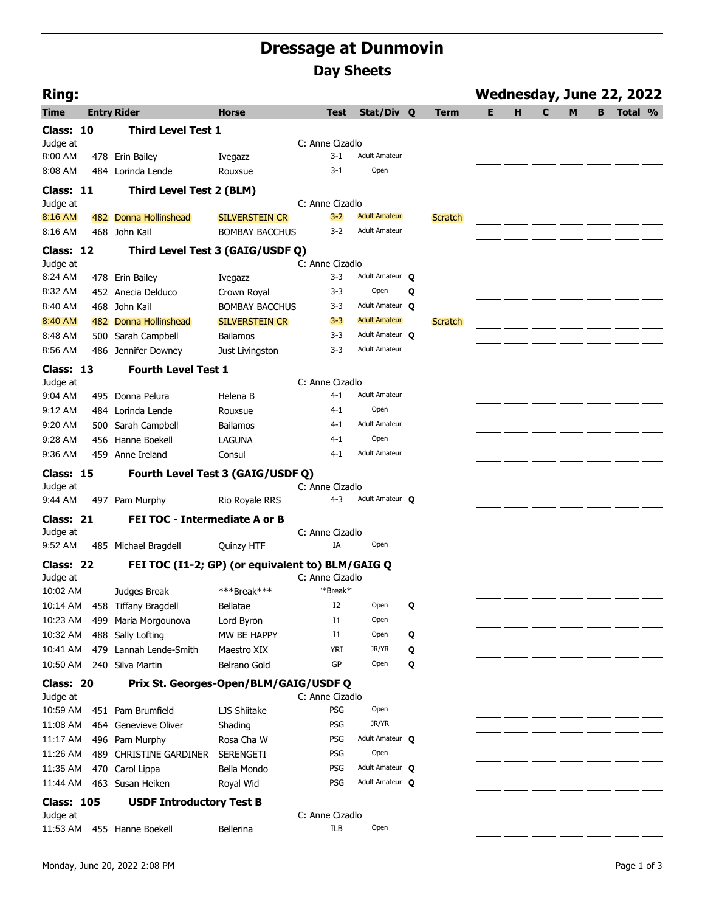## **Dressage at Dunmovin Day Sheets**

| <b>Ring:</b>      |     |                                                  |                       |                               |                                    |   |                |   |   |   |   |   | Wednesday, June 22, 2022 |  |
|-------------------|-----|--------------------------------------------------|-----------------------|-------------------------------|------------------------------------|---|----------------|---|---|---|---|---|--------------------------|--|
| <b>Time</b>       |     | <b>Entry Rider</b>                               | <b>Horse</b>          | <b>Test</b>                   | Stat/Div Q                         |   | Term           | Е | н | C | M | В | Total %                  |  |
| Class: 10         |     | <b>Third Level Test 1</b>                        |                       |                               |                                    |   |                |   |   |   |   |   |                          |  |
| Judge at          |     |                                                  |                       | C: Anne Cizadlo               |                                    |   |                |   |   |   |   |   |                          |  |
| 8:00 AM           |     | 478 Erin Bailey                                  | Ivegazz               | $3 - 1$                       | <b>Adult Amateur</b>               |   |                |   |   |   |   |   |                          |  |
| 8:08 AM           |     | 484 Lorinda Lende                                | Rouxsue               | $3-1$                         | Open                               |   |                |   |   |   |   |   |                          |  |
| Class: 11         |     | Third Level Test 2 (BLM)                         |                       |                               |                                    |   |                |   |   |   |   |   |                          |  |
| Judge at          |     |                                                  |                       | C: Anne Cizadlo               |                                    |   |                |   |   |   |   |   |                          |  |
| 8:16 AM           |     | 482 Donna Hollinshead                            | SILVERSTEIN CR        | $3 - 2$                       | <b>Adult Amateur</b>               |   | <b>Scratch</b> |   |   |   |   |   |                          |  |
| 8:16 AM           |     | 468 John Kail                                    | <b>BOMBAY BACCHUS</b> | $3-2$                         | <b>Adult Amateur</b>               |   |                |   |   |   |   |   |                          |  |
| Class: 12         |     | Third Level Test 3 (GAIG/USDF Q)                 |                       |                               |                                    |   |                |   |   |   |   |   |                          |  |
| Judge at          |     |                                                  |                       | C: Anne Cizadlo               |                                    |   |                |   |   |   |   |   |                          |  |
| 8:24 AM           |     | 478 Erin Bailey                                  | Ivegazz               | $3 - 3$                       | Adult Amateur Q                    |   |                |   |   |   |   |   |                          |  |
| 8:32 AM           |     | 452 Anecia Delduco                               | Crown Royal           | $3 - 3$                       | Open                               | Q |                |   |   |   |   |   |                          |  |
| 8:40 AM           | 468 | John Kail                                        | <b>BOMBAY BACCHUS</b> | $3 - 3$                       | Adult Amateur O                    |   |                |   |   |   |   |   |                          |  |
| 8:40 AM           |     | 482 Donna Hollinshead                            | <b>SILVERSTEIN CR</b> | $3 - 3$                       | <b>Adult Amateur</b>               |   | <b>Scratch</b> |   |   |   |   |   |                          |  |
| 8:48 AM           |     | 500 Sarah Campbell                               | <b>Bailamos</b>       | $3 - 3$                       | Adult Amateur O                    |   |                |   |   |   |   |   |                          |  |
| 8:56 AM           |     | 486 Jennifer Downey                              | Just Livingston       | $3 - 3$                       | <b>Adult Amateur</b>               |   |                |   |   |   |   |   |                          |  |
| Class: 13         |     | <b>Fourth Level Test 1</b>                       |                       |                               |                                    |   |                |   |   |   |   |   |                          |  |
| Judge at          |     |                                                  |                       | C: Anne Cizadlo               |                                    |   |                |   |   |   |   |   |                          |  |
| 9:04 AM           |     | 495 Donna Pelura                                 | Helena B              | $4 - 1$                       | <b>Adult Amateur</b>               |   |                |   |   |   |   |   |                          |  |
| 9:12 AM           |     | 484 Lorinda Lende                                | Rouxsue               | 4-1                           | Open                               |   |                |   |   |   |   |   |                          |  |
| 9:20 AM           |     | 500 Sarah Campbell                               | <b>Bailamos</b>       | $4 - 1$                       | <b>Adult Amateur</b>               |   |                |   |   |   |   |   |                          |  |
| 9:28 AM           |     | 456 Hanne Boekell                                | <b>LAGUNA</b>         | $4 - 1$                       | Open                               |   |                |   |   |   |   |   |                          |  |
| 9:36 AM           |     | 459 Anne Ireland                                 | Consul                | $4 - 1$                       | <b>Adult Amateur</b>               |   |                |   |   |   |   |   |                          |  |
| Class: 15         |     | Fourth Level Test 3 (GAIG/USDF Q)                |                       |                               |                                    |   |                |   |   |   |   |   |                          |  |
| Judge at          |     |                                                  |                       | C: Anne Cizadlo               |                                    |   |                |   |   |   |   |   |                          |  |
| 9:44 AM           |     | 497 Pam Murphy                                   | Rio Royale RRS        | $4 - 3$                       | Adult Amateur O                    |   |                |   |   |   |   |   |                          |  |
| Class: 21         |     | <b>FEI TOC - Intermediate A or B</b>             |                       |                               |                                    |   |                |   |   |   |   |   |                          |  |
| Judge at          |     |                                                  |                       | C: Anne Cizadlo               |                                    |   |                |   |   |   |   |   |                          |  |
| 9:52 AM           |     | 485 Michael Bragdell                             | Quinzy HTF            | IA                            | Open                               |   |                |   |   |   |   |   |                          |  |
| Class: 22         |     | FEI TOC (I1-2; GP) (or equivalent to) BLM/GAIG Q |                       |                               |                                    |   |                |   |   |   |   |   |                          |  |
| Judge at          |     |                                                  |                       | C: Anne Cizadlo               |                                    |   |                |   |   |   |   |   |                          |  |
| 10:02 AM          |     | Judges Break                                     | ***Break***           | *Break*                       |                                    |   |                |   |   |   |   |   |                          |  |
| 10:14 AM          | 458 | <b>Tiffany Bragdell</b>                          | Bellatae              | I2                            | Open                               | Q |                |   |   |   |   |   |                          |  |
| 10:23 AM          | 499 | Maria Morgounova                                 | Lord Byron            | $_{\rm I1}$                   | Open                               |   |                |   |   |   |   |   |                          |  |
| 10:32 AM          | 488 | Sally Lofting                                    | MW BE HAPPY           | $_{\rm I1}$                   | Open                               | Q |                |   |   |   |   |   |                          |  |
| 10:41 AM          | 479 | Lannah Lende-Smith                               | Maestro XIX           | <b>YRI</b>                    | JR/YR                              | Q |                |   |   |   |   |   |                          |  |
| 10:50 AM          |     | 240 Silva Martin                                 | Belrano Gold          | GP                            | Open                               | Q |                |   |   |   |   |   |                          |  |
| Class: 20         |     | Prix St. Georges-Open/BLM/GAIG/USDF Q            |                       |                               |                                    |   |                |   |   |   |   |   |                          |  |
| Judge at          |     |                                                  |                       | C: Anne Cizadlo               |                                    |   |                |   |   |   |   |   |                          |  |
| 10:59 AM          |     | 451 Pam Brumfield                                | LJS Shiitake          | PSG                           | Open                               |   |                |   |   |   |   |   |                          |  |
| 11:08 AM          |     | 464 Genevieve Oliver                             | Shading               | PSG                           | JR/YR                              |   |                |   |   |   |   |   |                          |  |
| 11:17 AM          |     | 496 Pam Murphy                                   | Rosa Cha W            | PSG                           | Adult Amateur O                    |   |                |   |   |   |   |   |                          |  |
| 11:26 AM          |     | 489 CHRISTINE GARDINER                           | SERENGETI             | <b>PSG</b>                    | Open                               |   |                |   |   |   |   |   |                          |  |
| 11:35 AM          |     | 470 Carol Lippa                                  | Bella Mondo           | PSG                           | Adult Amateur O<br>Adult Amateur Q |   |                |   |   |   |   |   |                          |  |
| 11:44 AM          |     | 463 Susan Heiken                                 | Royal Wid             | <b>PSG</b>                    |                                    |   |                |   |   |   |   |   |                          |  |
| <b>Class: 105</b> |     | <b>USDF Introductory Test B</b>                  |                       |                               |                                    |   |                |   |   |   |   |   |                          |  |
| Judge at          |     |                                                  |                       | C: Anne Cizadlo<br><b>ILB</b> | Open                               |   |                |   |   |   |   |   |                          |  |
| 11:53 AM          |     | 455 Hanne Boekell                                | Bellerina             |                               |                                    |   |                |   |   |   |   |   |                          |  |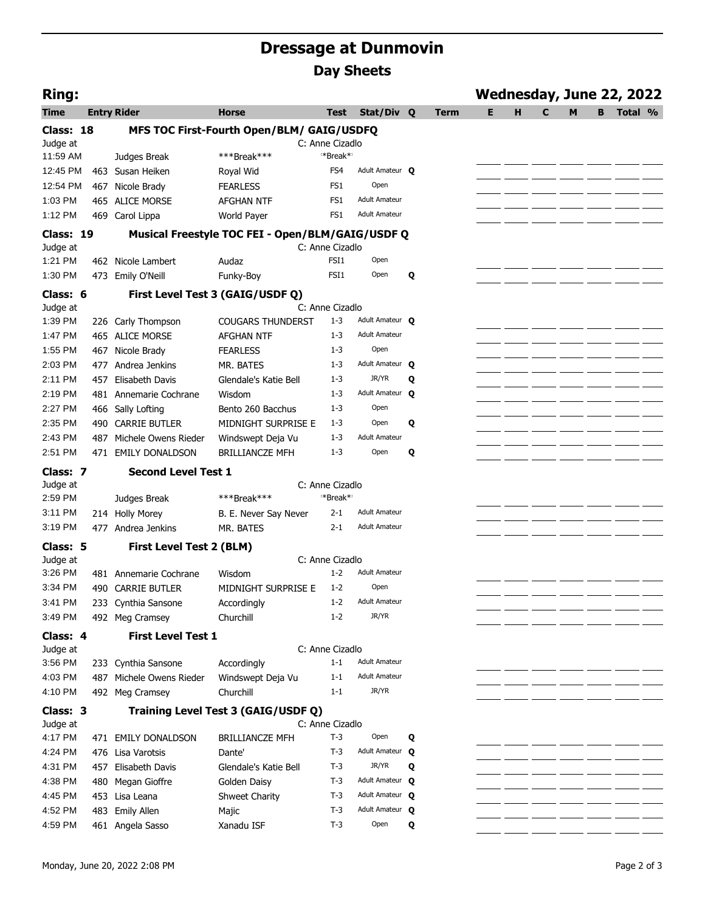## **Dressage at Dunmovin Day Sheets**

| <b>Ring:</b>          |     |                            |                                                  |                            |                      |   |             | Wednesday, June 22, 2022 |   |   |   |   |         |  |
|-----------------------|-----|----------------------------|--------------------------------------------------|----------------------------|----------------------|---|-------------|--------------------------|---|---|---|---|---------|--|
| <b>Time</b>           |     | <b>Entry Rider</b>         | <b>Horse</b>                                     | <b>Test</b>                | Stat/Div             | Q | <b>Term</b> | E.                       | н | C | M | B | Total % |  |
| Class: 18<br>Judge at |     |                            | MFS TOC First-Fourth Open/BLM/ GAIG/USDFQ        | C: Anne Cizadlo            |                      |   |             |                          |   |   |   |   |         |  |
| 11:59 AM              |     | Judges Break               | ***Break***                                      | *Break*                    |                      |   |             |                          |   |   |   |   |         |  |
| 12:45 PM              |     | 463 Susan Heiken           | Royal Wid                                        | FS4                        | Adult Amateur O      |   |             |                          |   |   |   |   |         |  |
| 12:54 PM              |     | 467 Nicole Brady           | <b>FEARLESS</b>                                  | FS1                        | Open                 |   |             |                          |   |   |   |   |         |  |
| 1:03 PM               |     | 465 ALICE MORSE            | <b>AFGHAN NTF</b>                                | FS <sub>1</sub>            | <b>Adult Amateur</b> |   |             |                          |   |   |   |   |         |  |
| 1:12 PM               |     | 469 Carol Lippa            | World Payer                                      | FS <sub>1</sub>            | <b>Adult Amateur</b> |   |             |                          |   |   |   |   |         |  |
| Class: 19             |     |                            | Musical Freestyle TOC FEI - Open/BLM/GAIG/USDF Q |                            |                      |   |             |                          |   |   |   |   |         |  |
| Judge at              |     |                            |                                                  | C: Anne Cizadlo            |                      |   |             |                          |   |   |   |   |         |  |
| 1:21 PM               |     | 462 Nicole Lambert         | Audaz                                            | FSI1                       | Open                 |   |             |                          |   |   |   |   |         |  |
| 1:30 PM               |     | 473 Emily O'Neill          | Funky-Boy                                        | FSI1                       | Open                 | Q |             |                          |   |   |   |   |         |  |
| Class: 6              |     |                            | First Level Test 3 (GAIG/USDF Q)                 |                            |                      |   |             |                          |   |   |   |   |         |  |
| Judge at              |     |                            |                                                  | C: Anne Cizadlo            |                      |   |             |                          |   |   |   |   |         |  |
| 1:39 PM               |     | 226 Carly Thompson         | <b>COUGARS THUNDERST</b>                         | $1 - 3$                    | Adult Amateur O      |   |             |                          |   |   |   |   |         |  |
| 1:47 PM               |     | 465 ALICE MORSE            | <b>AFGHAN NTF</b>                                | $1 - 3$                    | <b>Adult Amateur</b> |   |             |                          |   |   |   |   |         |  |
| 1:55 PM               | 467 | Nicole Brady               | <b>FEARLESS</b>                                  | $1 - 3$                    | Open                 |   |             |                          |   |   |   |   |         |  |
| 2:03 PM               | 477 | Andrea Jenkins             | MR. BATES                                        | $1 - 3$                    | Adult Amateur O      |   |             |                          |   |   |   |   |         |  |
| 2:11 PM               |     | 457 Elisabeth Davis        | Glendale's Katie Bell                            | $1 - 3$                    | JR/YR                | Q |             |                          |   |   |   |   |         |  |
| 2:19 PM               |     | 481 Annemarie Cochrane     | Wisdom                                           | $1 - 3$                    | Adult Amateur Q      |   |             |                          |   |   |   |   |         |  |
| 2:27 PM               |     | 466 Sally Lofting          | Bento 260 Bacchus                                | $1 - 3$                    | Open                 |   |             |                          |   |   |   |   |         |  |
| 2:35 PM               |     | 490 CARRIE BUTLER          | MIDNIGHT SURPRISE E                              | $1 - 3$                    | Open                 | Q |             |                          |   |   |   |   |         |  |
| 2:43 PM               |     | 487 Michele Owens Rieder   | Windswept Deja Vu                                | $1 - 3$                    | <b>Adult Amateur</b> |   |             |                          |   |   |   |   |         |  |
| 2:51 PM               |     | 471 EMILY DONALDSON        | <b>BRILLIANCZE MFH</b>                           | $1 - 3$                    | Open                 | Q |             |                          |   |   |   |   |         |  |
|                       |     |                            |                                                  |                            |                      |   |             |                          |   |   |   |   |         |  |
| Class: 7              |     | <b>Second Level Test 1</b> |                                                  |                            |                      |   |             |                          |   |   |   |   |         |  |
| Judge at              |     |                            |                                                  | C: Anne Cizadlo            |                      |   |             |                          |   |   |   |   |         |  |
| 2:59 PM               |     | Judges Break               | ***Break***                                      | *Break* <sup>*</sup>       |                      |   |             |                          |   |   |   |   |         |  |
| 3:11 PM               |     | 214 Holly Morey            | B. E. Never Say Never                            | $2 - 1$                    | <b>Adult Amateur</b> |   |             |                          |   |   |   |   |         |  |
| 3:19 PM               |     | 477 Andrea Jenkins         | MR. BATES                                        | $2 - 1$                    | <b>Adult Amateur</b> |   |             |                          |   |   |   |   |         |  |
| Class: 5              |     | First Level Test 2 (BLM)   |                                                  |                            |                      |   |             |                          |   |   |   |   |         |  |
| Judge at              |     |                            |                                                  | C: Anne Cizadlo            |                      |   |             |                          |   |   |   |   |         |  |
| 3:26 PM               |     | 481 Annemarie Cochrane     | Wisdom                                           | $1 - 2$                    | <b>Adult Amateur</b> |   |             |                          |   |   |   |   |         |  |
| 3:34 PM               |     | 490 CARRIE BUTLER          | MIDNIGHT SURPRISE E                              | $1 - 2$                    | Open                 |   |             |                          |   |   |   |   |         |  |
| 3:41 PM               |     | 233 Cynthia Sansone        | Accordingly                                      | $1 - 2$                    | <b>Adult Amateur</b> |   |             |                          |   |   |   |   |         |  |
| 3:49 PM               |     | 492 Meg Cramsey            | Churchill                                        | $1 - 2$                    | JR/YR                |   |             |                          |   |   |   |   |         |  |
| Class: 4              |     | <b>First Level Test 1</b>  |                                                  |                            |                      |   |             |                          |   |   |   |   |         |  |
| Judge at              |     |                            |                                                  | C: Anne Cizadlo<br>$1 - 1$ | <b>Adult Amateur</b> |   |             |                          |   |   |   |   |         |  |
| 3:56 PM               |     | 233 Cynthia Sansone        | Accordingly                                      | $1 - 1$                    | <b>Adult Amateur</b> |   |             |                          |   |   |   |   |         |  |
| 4:03 PM               |     | 487 Michele Owens Rieder   | Windswept Deja Vu                                | $1 - 1$                    | JR/YR                |   |             |                          |   |   |   |   |         |  |
| 4:10 PM               |     | 492 Meg Cramsey            | Churchill                                        |                            |                      |   |             |                          |   |   |   |   |         |  |
| Class: 3              |     |                            | Training Level Test 3 (GAIG/USDF Q)              |                            |                      |   |             |                          |   |   |   |   |         |  |
| Judge at<br>4:17 PM   |     | 471 EMILY DONALDSON        | <b>BRILLIANCZE MFH</b>                           | C: Anne Cizadlo<br>$T-3$   | Open                 | Q |             |                          |   |   |   |   |         |  |
| 4:24 PM               |     | 476 Lisa Varotsis          | Dante'                                           | T-3                        | Adult Amateur O      |   |             |                          |   |   |   |   |         |  |
| 4:31 PM               |     | 457 Elisabeth Davis        | Glendale's Katie Bell                            | T-3                        | JR/YR                | Q |             |                          |   |   |   |   |         |  |
| 4:38 PM               | 480 | Megan Gioffre              | Golden Daisy                                     | T-3                        | Adult Amateur O      |   |             |                          |   |   |   |   |         |  |
| 4:45 PM               |     | 453 Lisa Leana             | Shweet Charity                                   | $T-3$                      | Adult Amateur O      |   |             |                          |   |   |   |   |         |  |
| 4:52 PM               |     | 483 Emily Allen            | Majic                                            | T-3                        | Adult Amateur Q      |   |             |                          |   |   |   |   |         |  |